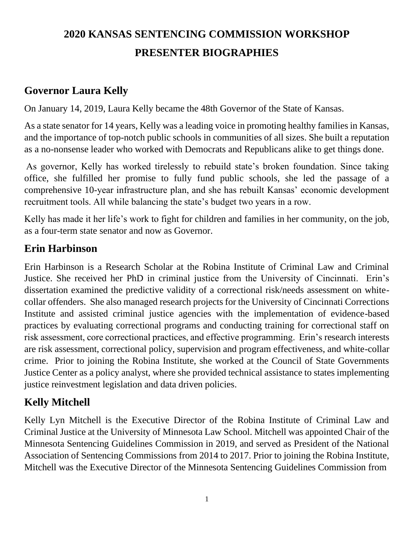# **2020 KANSAS SENTENCING COMMISSION WORKSHOP PRESENTER BIOGRAPHIES**

### **Governor Laura Kelly**

On January 14, 2019, Laura Kelly became the 48th Governor of the State of Kansas.

As a state senator for 14 years, Kelly was a leading voice in promoting healthy families in Kansas, and the importance of top-notch public schools in communities of all sizes. She built a reputation as a no-nonsense leader who worked with Democrats and Republicans alike to get things done.

As governor, Kelly has worked tirelessly to rebuild state's broken foundation. Since taking office, she fulfilled her promise to fully fund public schools, she led the passage of a comprehensive 10-year infrastructure plan, and she has rebuilt Kansas' economic development recruitment tools. All while balancing the state's budget two years in a row.

Kelly has made it her life's work to fight for children and families in her community, on the job, as a four-term state senator and now as Governor.

#### **Erin Harbinson**

Erin Harbinson is a Research Scholar at the Robina Institute of Criminal Law and Criminal Justice. She received her PhD in criminal justice from the University of Cincinnati. Erin's dissertation examined the predictive validity of a correctional risk/needs assessment on whitecollar offenders. She also managed research projects for the University of Cincinnati Corrections Institute and assisted criminal justice agencies with the implementation of evidence-based practices by evaluating correctional programs and conducting training for correctional staff on risk assessment, core correctional practices, and effective programming. Erin's research interests are risk assessment, correctional policy, supervision and program effectiveness, and white-collar crime. Prior to joining the Robina Institute, she worked at the Council of State Governments Justice Center as a policy analyst, where she provided technical assistance to states implementing justice reinvestment legislation and data driven policies.

#### **Kelly Mitchell**

Kelly Lyn Mitchell is the Executive Director of the Robina Institute of Criminal Law and Criminal Justice at the University of Minnesota Law School. Mitchell was appointed Chair of the Minnesota Sentencing Guidelines Commission in 2019, and served as President of the National Association of Sentencing Commissions from 2014 to 2017. Prior to joining the Robina Institute, Mitchell was the Executive Director of the Minnesota Sentencing Guidelines Commission from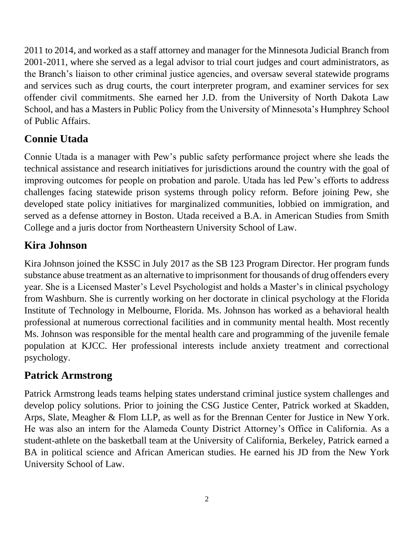2011 to 2014, and worked as a staff attorney and manager for the Minnesota Judicial Branch from 2001-2011, where she served as a legal advisor to trial court judges and court administrators, as the Branch's liaison to other criminal justice agencies, and oversaw several statewide programs and services such as drug courts, the court interpreter program, and examiner services for sex offender civil commitments. She earned her J.D. from the University of North Dakota Law School, and has a Masters in Public Policy from the University of Minnesota's Humphrey School of Public Affairs.

# **Connie Utada**

Connie Utada is a manager with Pew's public safety performance project where she leads the technical assistance and research initiatives for jurisdictions around the country with the goal of improving outcomes for people on probation and parole. Utada has led Pew's efforts to address challenges facing statewide prison systems through policy reform. Before joining Pew, she developed state policy initiatives for marginalized communities, lobbied on immigration, and served as a defense attorney in Boston. Utada received a B.A. in American Studies from Smith College and a juris doctor from Northeastern University School of Law.

## **Kira Johnson**

Kira Johnson joined the KSSC in July 2017 as the SB 123 Program Director. Her program funds substance abuse treatment as an alternative to imprisonment for thousands of drug offenders every year. She is a Licensed Master's Level Psychologist and holds a Master's in clinical psychology from Washburn. She is currently working on her doctorate in clinical psychology at the Florida Institute of Technology in Melbourne, Florida. Ms. Johnson has worked as a behavioral health professional at numerous correctional facilities and in community mental health. Most recently Ms. Johnson was responsible for the mental health care and programming of the juvenile female population at KJCC. Her professional interests include anxiety treatment and correctional psychology.

## **Patrick Armstrong**

Patrick Armstrong leads teams helping states understand criminal justice system challenges and develop policy solutions. Prior to joining the CSG Justice Center, Patrick worked at Skadden, Arps, Slate, Meagher & Flom LLP, as well as for the Brennan Center for Justice in New York. He was also an intern for the Alameda County District Attorney's Office in California. As a student-athlete on the basketball team at the University of California, Berkeley, Patrick earned a BA in political science and African American studies. He earned his JD from the New York University School of Law.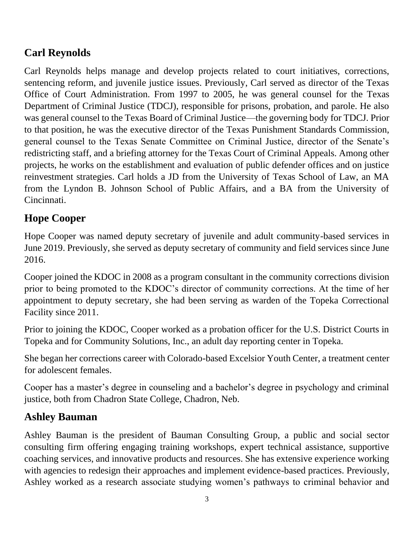# **Carl Reynolds**

Carl Reynolds helps manage and develop projects related to court initiatives, corrections, sentencing reform, and juvenile justice issues. Previously, Carl served as director of the Texas Office of Court Administration. From 1997 to 2005, he was general counsel for the Texas Department of Criminal Justice (TDCJ), responsible for prisons, probation, and parole. He also was general counsel to the Texas Board of Criminal Justice—the governing body for TDCJ. Prior to that position, he was the executive director of the Texas Punishment Standards Commission, general counsel to the Texas Senate Committee on Criminal Justice, director of the Senate's redistricting staff, and a briefing attorney for the Texas Court of Criminal Appeals. Among other projects, he works on the establishment and evaluation of public defender offices and on justice reinvestment strategies. Carl holds a JD from the University of Texas School of Law, an MA from the Lyndon B. Johnson School of Public Affairs, and a BA from the University of Cincinnati.

# **Hope Cooper**

Hope Cooper was named deputy secretary of juvenile and adult community-based services in June 2019. Previously, she served as deputy secretary of community and field services since June 2016.

Cooper joined the KDOC in 2008 as a program consultant in the community corrections division prior to being promoted to the KDOC's director of community corrections. At the time of her appointment to deputy secretary, she had been serving as warden of the Topeka Correctional Facility since 2011.

Prior to joining the KDOC, Cooper worked as a probation officer for the U.S. District Courts in Topeka and for Community Solutions, Inc., an adult day reporting center in Topeka.

She began her corrections career with Colorado-based Excelsior Youth Center, a treatment center for adolescent females.

Cooper has a master's degree in counseling and a bachelor's degree in psychology and criminal justice, both from Chadron State College, Chadron, Neb.

## **Ashley Bauman**

Ashley Bauman is the president of Bauman Consulting Group, a public and social sector consulting firm offering engaging training workshops, expert technical assistance, supportive coaching services, and innovative products and resources. She has extensive experience working with agencies to redesign their approaches and implement evidence-based practices. Previously, Ashley worked as a research associate studying women's pathways to criminal behavior and